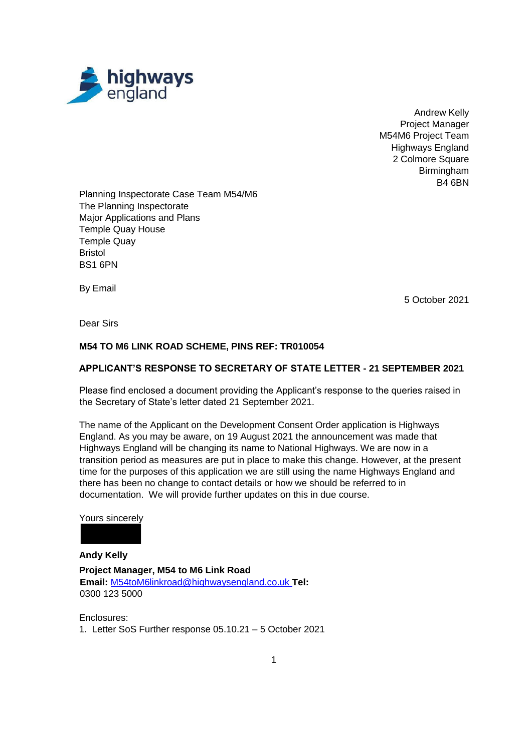

Andrew Kelly Project Manager M54M6 Project Team Highways England 2 Colmore Square Birmingham B4 6BN

Planning Inspectorate Case Team M54/M6 The Planning Inspectorate Major Applications and Plans Temple Quay House Temple Quay Bristol BS1 6PN

By Email

5 October 2021

Dear Sirs

## **M54 TO M6 LINK ROAD SCHEME, PINS REF: TR010054**

## **APPLICANT'S RESPONSE TO SECRETARY OF STATE LETTER - 21 SEPTEMBER 2021**

Please find enclosed a document providing the Applicant's response to the queries raised in the Secretary of State's letter dated 21 September 2021.

The name of the Applicant on the Development Consent Order application is Highways England. As you may be aware, on 19 August 2021 the announcement was made that Highways England will be changing its name to National Highways. We are now in a transition period as measures are put in place to make this change. However, at the present time for the purposes of this application we are still using the name Highways England and there has been no change to contact details or how we should be referred to in documentation. We will provide further updates on this in due course.

#### Yours sincerely

**Andy Kelly Project Manager, M54 to M6 Link Road Email:** M54toM6linkroad@highwaysengland.co.uk **Tel:**  0300 123 5000

Enclosures: 1. Letter SoS Further response 05.10.21 – 5 October 2021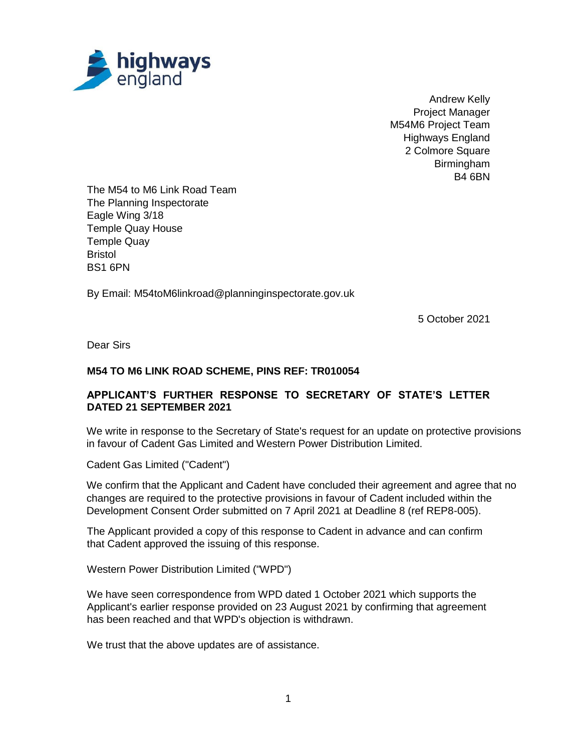

Andrew Kelly Project Manager M54M6 Project Team Highways England 2 Colmore Square Birmingham B4 6BN

The M54 to M6 Link Road Team The Planning Inspectorate Eagle Wing 3/18 Temple Quay House Temple Quay **Bristol** BS1 6PN

By Email: M54toM6linkroad@planninginspectorate.gov.uk

5 October 2021

Dear Sirs

## **M54 TO M6 LINK ROAD SCHEME, PINS REF: TR010054**

# **APPLICANT'S FURTHER RESPONSE TO SECRETARY OF STATE'S LETTER DATED 21 SEPTEMBER 2021**

We write in response to the Secretary of State's request for an update on protective provisions in favour of Cadent Gas Limited and Western Power Distribution Limited.

Cadent Gas Limited ("Cadent")

We confirm that the Applicant and Cadent have concluded their agreement and agree that no changes are required to the protective provisions in favour of Cadent included within the Development Consent Order submitted on 7 April 2021 at Deadline 8 (ref REP8-005).

The Applicant provided a copy of this response to Cadent in advance and can confirm that Cadent approved the issuing of this response.

Western Power Distribution Limited ("WPD")

We have seen correspondence from WPD dated 1 October 2021 which supports the Applicant's earlier response provided on 23 August 2021 by confirming that agreement has been reached and that WPD's objection is withdrawn.

We trust that the above updates are of assistance.